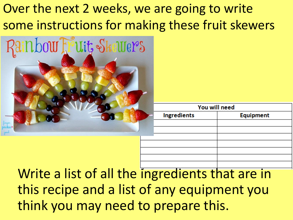## Over the next 2 weeks, we are going to write some instructions for making these fruit skewers



| You will need      |                  |
|--------------------|------------------|
| <b>Ingredients</b> | <b>Equipment</b> |
|                    |                  |
|                    |                  |
|                    |                  |
|                    |                  |
|                    |                  |
|                    |                  |
|                    |                  |

Write a list of all the ingredients that are in this recipe and a list of any equipment you think you may need to prepare this.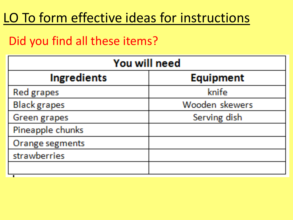## LO To form effective ideas for instructions

#### Did you find all these items?

| You will need       |                  |
|---------------------|------------------|
| <b>Ingredients</b>  | <b>Equipment</b> |
| Red grapes          | knife            |
| <b>Black</b> grapes | Wooden skewers   |
| Green grapes        | Serving dish     |
| Pineapple chunks    |                  |
| Orange segments     |                  |
| strawberries        |                  |
|                     |                  |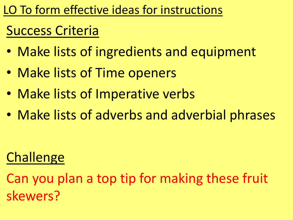LO To form effective ideas for instructions

## Success Criteria

- Make lists of ingredients and equipment
- Make lists of Time openers
- Make lists of Imperative verbs
- Make lists of adverbs and adverbial phrases

## **Challenge**

Can you plan a top tip for making these fruit skewers?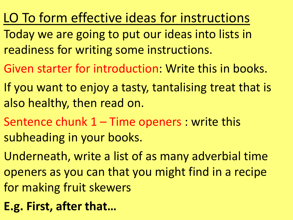- LO To form effective ideas for instructions
- Today we are going to put our ideas into lists in readiness for writing some instructions.
- Given starter for introduction: Write this in books.
- If you want to enjoy a tasty, tantalising treat that is also healthy, then read on.
- Sentence chunk 1 Time openers : write this subheading in your books.
- Underneath, write a list of as many adverbial time openers as you can that you might find in a recipe for making fruit skewers
- **E.g. First, after that…**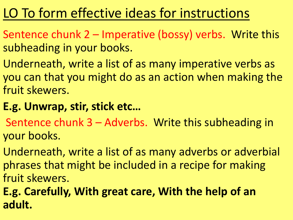# LO To form effective ideas for instructions

- Sentence chunk 2 Imperative (bossy) verbs. Write this subheading in your books.
- Underneath, write a list of as many imperative verbs as you can that you might do as an action when making the fruit skewers.

#### **E.g. Unwrap, stir, stick etc…**

- Sentence chunk 3 Adverbs. Write this subheading in your books.
- Underneath, write a list of as many adverbs or adverbial phrases that might be included in a recipe for making fruit skewers.
- **E.g. Carefully, With great care, With the help of an adult.**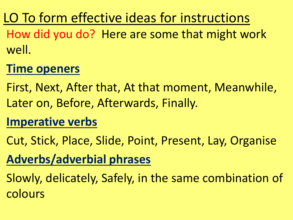LO To form effective ideas for instructions How did you do? Here are some that might work well.

### **Time openers**

First, Next, After that, At that moment, Meanwhile, Later on, Before, Afterwards, Finally.

### **Imperative verbs**

Cut, Stick, Place, Slide, Point, Present, Lay, Organise

### **Adverbs/adverbial phrases**

Slowly, delicately, Safely, in the same combination of colours